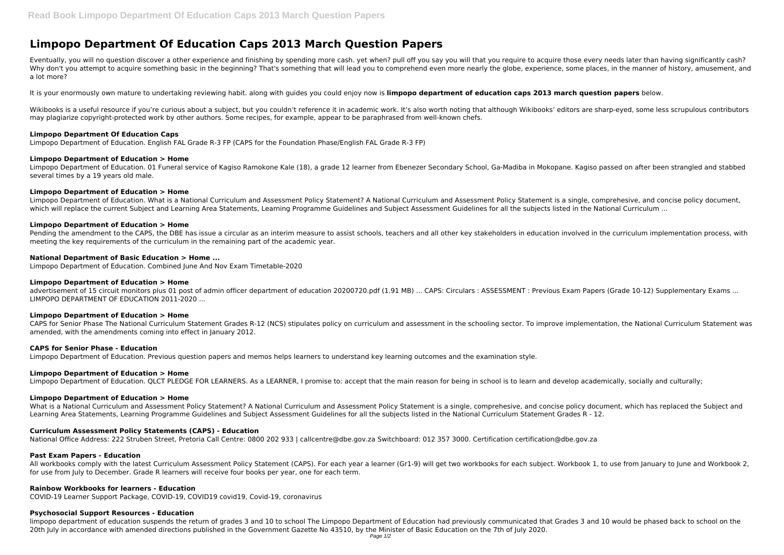# **Limpopo Department Of Education Caps 2013 March Question Papers**

Eventually, you will no question discover a other experience and finishing by spending more cash. yet when? pull off you say you will that you require to acquire those every needs later than having significantly cash? Why don't you attempt to acquire something basic in the beginning? That's something that will lead you to comprehend even more nearly the globe, experience, some places, in the manner of history, amusement, and a lot more?

Wikibooks is a useful resource if you're curious about a subject, but you couldn't reference it in academic work. It's also worth noting that although Wikibooks' editors are sharp-eyed, some less scrupulous contributors may plagiarize copyright-protected work by other authors. Some recipes, for example, appear to be paraphrased from well-known chefs.

It is your enormously own mature to undertaking reviewing habit. along with guides you could enjoy now is **limpopo department of education caps 2013 march question papers** below.

# **Limpopo Department Of Education Caps**

Limpopo Department of Education. English FAL Grade R-3 FP (CAPS for the Foundation Phase/English FAL Grade R-3 FP)

# **Limpopo Department of Education > Home**

advertisement of 15 circuit monitors plus 01 post of admin officer department of education 20200720.pdf (1.91 MB) ... CAPS: Circulars : ASSESSMENT : Previous Exam Papers (Grade 10-12) Supplementary Exams ... LIMPOPO DEPARTMENT OF EDUCATION 2011-2020 ...

Limpopo Department of Education. 01 Funeral service of Kagiso Ramokone Kale (18), a grade 12 learner from Ebenezer Secondary School, Ga-Madiba in Mokopane. Kagiso passed on after been strangled and stabbed several times by a 19 years old male.

# **Limpopo Department of Education > Home**

Limpopo Department of Education. What is a National Curriculum and Assessment? A National Curriculum and Assessment Policy Statement is a single, comprehesive, and concise policy document, which will replace the current Subject and Learning Area Statements, Learning Programme Guidelines and Subject Assessment Guidelines for all the subjects listed in the National Curriculum ...

What is a National Curriculum and Assessment Policy Statement? A National Curriculum and Assessment Policy Statement is a single, comprehesive, and concise policy document, which has replaced the Subject and Learning Area Statements, Learning Programme Guidelines and Subject Assessment Guidelines for all the subjects listed in the National Curriculum Statement Grades R - 12.

# **Limpopo Department of Education > Home**

Pending the amendment to the CAPS, the DBE has issue a circular as an interim measure to assist schools, teachers and all other key stakeholders in education involved in the curriculum implementation process, with meeting the key requirements of the curriculum in the remaining part of the academic year.

# **National Department of Basic Education > Home ...**

Limpopo Department of Education. Combined June And Nov Exam Timetable-2020

# **Limpopo Department of Education > Home**

# **Limpopo Department of Education > Home**

CAPS for Senior Phase The National Curriculum Statement Grades R-12 (NCS) stipulates policy on curriculum and assessment in the schooling sector. To improve implementation, the National Curriculum Statement was amended, with the amendments coming into effect in January 2012.

# **CAPS for Senior Phase - Education**

Limpopo Department of Education. Previous question papers and memos helps learners to understand key learning outcomes and the examination style.

# **Limpopo Department of Education > Home**

Limpopo Department of Education. QLCT PLEDGE FOR LEARNERS. As a LEARNER, I promise to: accept that the main reason for being in school is to learn and develop academically, socially and culturally;

# **Limpopo Department of Education > Home**

# **Curriculum Assessment Policy Statements (CAPS) - Education**

National Office Address: 222 Struben Street, Pretoria Call Centre: 0800 202 933 | callcentre@dbe.gov.za Switchboard: 012 357 3000. Certification certification@dbe.gov.za

# **Past Exam Papers - Education**

All workbooks comply with the latest Curriculum Assessment Policy Statement (CAPS). For each year a learner (Gr1-9) will get two workbooks for each subject. Workbook 1, to use from January to June and Workbook 2, for use from July to December. Grade R learners will receive four books per year, one for each term.

# **Rainbow Workbooks for learners - Education**

COVID-19 Learner Support Package, COVID-19, COVID19 covid19, Covid-19, coronavirus

# **Psychosocial Support Resources - Education**

limpopo department of education suspends the return of grades 3 and 10 to school The Limpopo Department of Education had previously communicated that Grades 3 and 10 would be phased back to school on the 20th July in accordance with amended directions published in the Government Gazette No 43510, by the Minister of Basic Education on the 7th of July 2020.